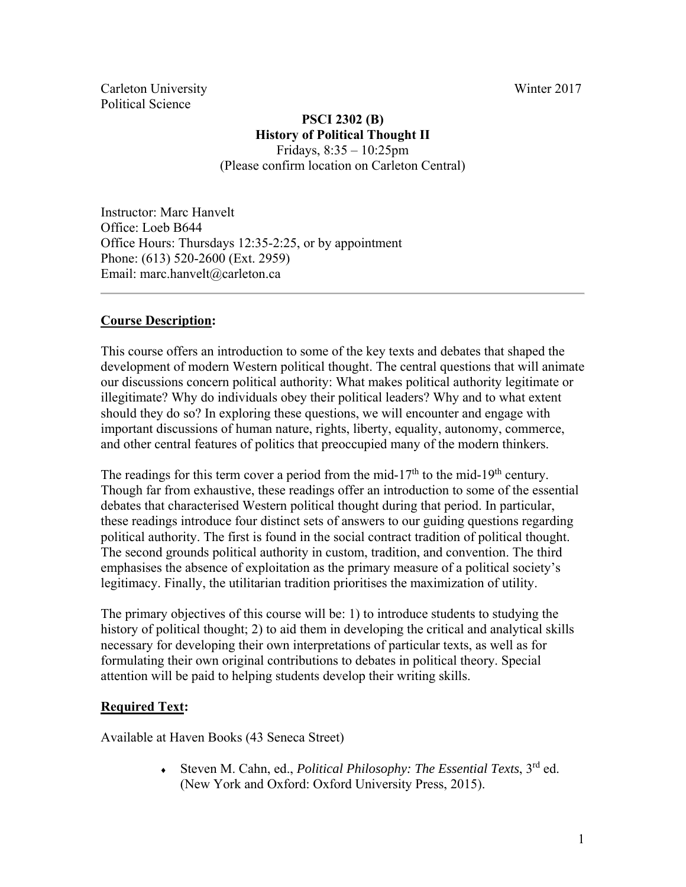Carleton University Winter 2017 Political Science

# **PSCI 2302 (B) History of Political Thought II**

Fridays, 8:35 – 10:25pm (Please confirm location on Carleton Central)

Instructor: Marc Hanvelt Office: Loeb B644 Office Hours: Thursdays 12:35-2:25, or by appointment Phone: (613) 520-2600 (Ext. 2959) Email: marc.hanvelt@carleton.ca

# **Course Description:**

This course offers an introduction to some of the key texts and debates that shaped the development of modern Western political thought. The central questions that will animate our discussions concern political authority: What makes political authority legitimate or illegitimate? Why do individuals obey their political leaders? Why and to what extent should they do so? In exploring these questions, we will encounter and engage with important discussions of human nature, rights, liberty, equality, autonomy, commerce, and other central features of politics that preoccupied many of the modern thinkers.

The readings for this term cover a period from the mid-17<sup>th</sup> to the mid-19<sup>th</sup> century. Though far from exhaustive, these readings offer an introduction to some of the essential debates that characterised Western political thought during that period. In particular, these readings introduce four distinct sets of answers to our guiding questions regarding political authority. The first is found in the social contract tradition of political thought. The second grounds political authority in custom, tradition, and convention. The third emphasises the absence of exploitation as the primary measure of a political society's legitimacy. Finally, the utilitarian tradition prioritises the maximization of utility.

The primary objectives of this course will be: 1) to introduce students to studying the history of political thought; 2) to aid them in developing the critical and analytical skills necessary for developing their own interpretations of particular texts, as well as for formulating their own original contributions to debates in political theory. Special attention will be paid to helping students develop their writing skills.

## **Required Text:**

Available at Haven Books (43 Seneca Street)

 Steven M. Cahn, ed., *Political Philosophy: The Essential Texts*, 3rd ed. (New York and Oxford: Oxford University Press, 2015).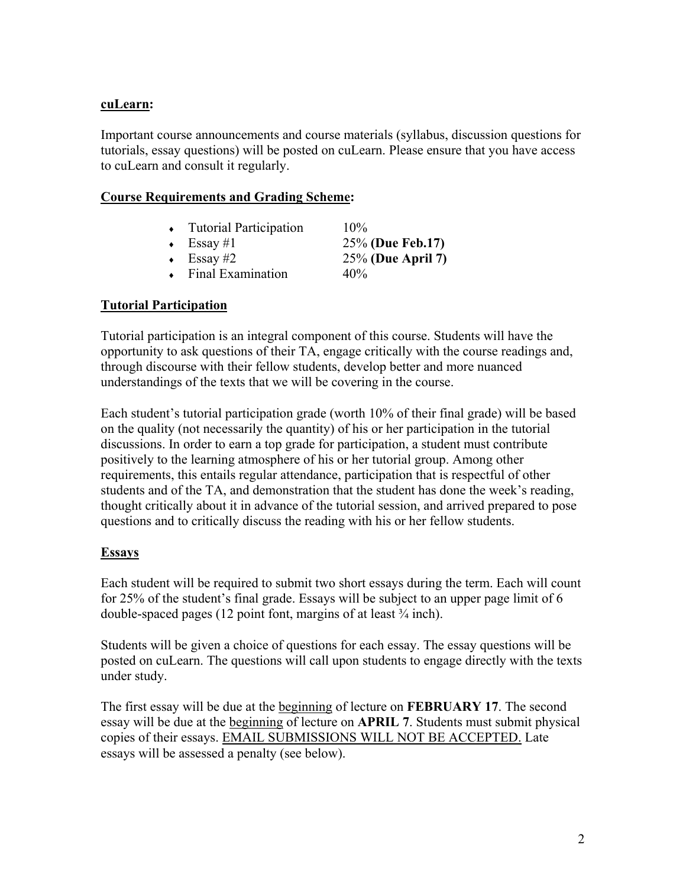## **cuLearn:**

Important course announcements and course materials (syllabus, discussion questions for tutorials, essay questions) will be posted on cuLearn. Please ensure that you have access to cuLearn and consult it regularly.

#### **Course Requirements and Grading Scheme:**

| • Tutorial Participation | $10\%$               |
|--------------------------|----------------------|
| $\leftarrow$ Essay #1    | 25% (Due Feb.17)     |
| $\cdot$ Essay #2         | $25\%$ (Due April 7) |
| • Final Examination      | 40%                  |

## **Tutorial Participation**

Tutorial participation is an integral component of this course. Students will have the opportunity to ask questions of their TA, engage critically with the course readings and, through discourse with their fellow students, develop better and more nuanced understandings of the texts that we will be covering in the course.

Each student's tutorial participation grade (worth 10% of their final grade) will be based on the quality (not necessarily the quantity) of his or her participation in the tutorial discussions. In order to earn a top grade for participation, a student must contribute positively to the learning atmosphere of his or her tutorial group. Among other requirements, this entails regular attendance, participation that is respectful of other students and of the TA, and demonstration that the student has done the week's reading, thought critically about it in advance of the tutorial session, and arrived prepared to pose questions and to critically discuss the reading with his or her fellow students.

## **Essays**

Each student will be required to submit two short essays during the term. Each will count for 25% of the student's final grade. Essays will be subject to an upper page limit of 6 double-spaced pages (12 point font, margins of at least  $\frac{3}{4}$  inch).

Students will be given a choice of questions for each essay. The essay questions will be posted on cuLearn. The questions will call upon students to engage directly with the texts under study.

The first essay will be due at the beginning of lecture on **FEBRUARY 17**. The second essay will be due at the beginning of lecture on **APRIL 7**. Students must submit physical copies of their essays. EMAIL SUBMISSIONS WILL NOT BE ACCEPTED. Late essays will be assessed a penalty (see below).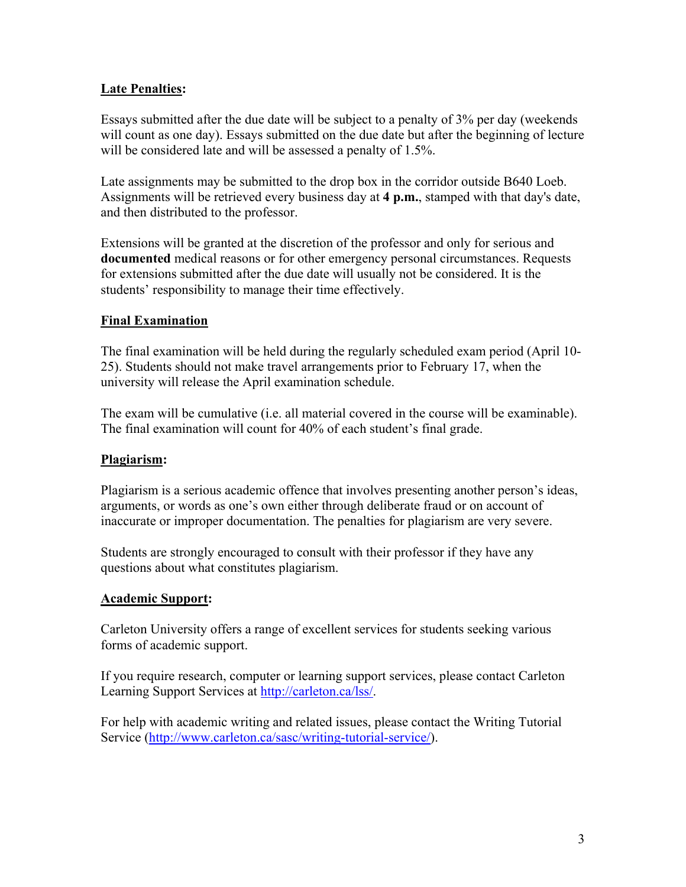# **Late Penalties:**

Essays submitted after the due date will be subject to a penalty of 3% per day (weekends will count as one day). Essays submitted on the due date but after the beginning of lecture will be considered late and will be assessed a penalty of 1.5%.

Late assignments may be submitted to the drop box in the corridor outside B640 Loeb. Assignments will be retrieved every business day at **4 p.m.**, stamped with that day's date, and then distributed to the professor.

Extensions will be granted at the discretion of the professor and only for serious and **documented** medical reasons or for other emergency personal circumstances. Requests for extensions submitted after the due date will usually not be considered. It is the students' responsibility to manage their time effectively.

## **Final Examination**

The final examination will be held during the regularly scheduled exam period (April 10- 25). Students should not make travel arrangements prior to February 17, when the university will release the April examination schedule.

The exam will be cumulative (i.e. all material covered in the course will be examinable). The final examination will count for 40% of each student's final grade.

## **Plagiarism:**

Plagiarism is a serious academic offence that involves presenting another person's ideas, arguments, or words as one's own either through deliberate fraud or on account of inaccurate or improper documentation. The penalties for plagiarism are very severe.

Students are strongly encouraged to consult with their professor if they have any questions about what constitutes plagiarism.

## **Academic Support:**

Carleton University offers a range of excellent services for students seeking various forms of academic support.

If you require research, computer or learning support services, please contact Carleton Learning Support Services at http://carleton.ca/lss/.

For help with academic writing and related issues, please contact the Writing Tutorial Service (http://www.carleton.ca/sasc/writing-tutorial-service/).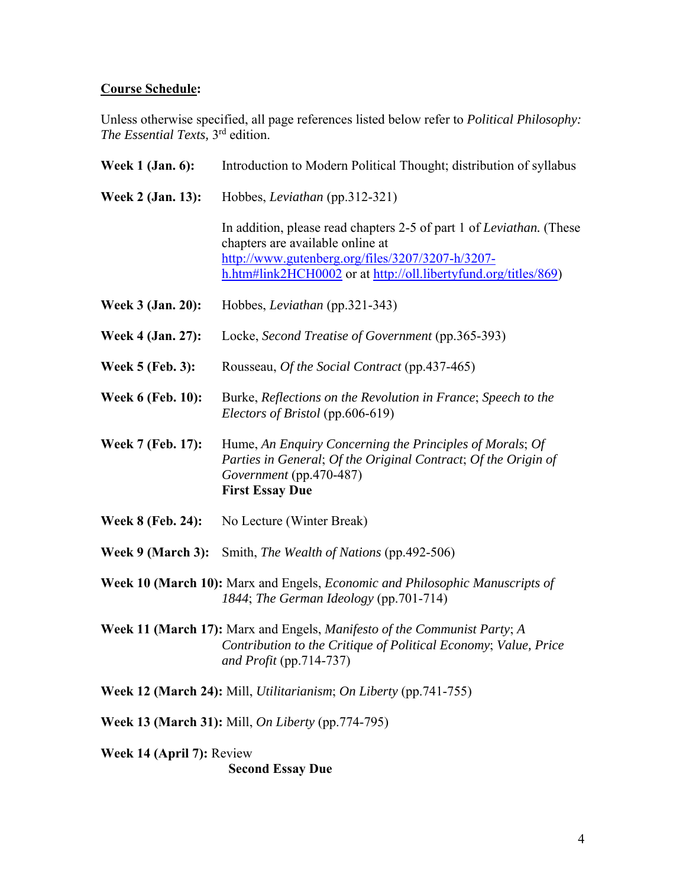#### **Course Schedule:**

Unless otherwise specified, all page references listed below refer to *Political Philosophy: The Essential Texts,* 3rd edition.

| <b>Week 1 (Jan. 6):</b>  | Introduction to Modern Political Thought; distribution of syllabus                                                                                                                                                                      |  |  |  |
|--------------------------|-----------------------------------------------------------------------------------------------------------------------------------------------------------------------------------------------------------------------------------------|--|--|--|
| Week 2 (Jan. 13):        | Hobbes, Leviathan (pp.312-321)                                                                                                                                                                                                          |  |  |  |
|                          | In addition, please read chapters 2-5 of part 1 of <i>Leviathan</i> . (These<br>chapters are available online at<br>http://www.gutenberg.org/files/3207/3207-h/3207-<br>h.htm#link2HCH0002 or at http://oll.libertyfund.org/titles/869) |  |  |  |
| <b>Week 3 (Jan. 20):</b> | Hobbes, Leviathan (pp.321-343)                                                                                                                                                                                                          |  |  |  |
| Week 4 (Jan. 27):        | Locke, Second Treatise of Government (pp.365-393)                                                                                                                                                                                       |  |  |  |
| <b>Week 5 (Feb. 3):</b>  | Rousseau, Of the Social Contract (pp.437-465)                                                                                                                                                                                           |  |  |  |
| <b>Week 6 (Feb. 10):</b> | Burke, Reflections on the Revolution in France; Speech to the<br>Electors of Bristol (pp.606-619)                                                                                                                                       |  |  |  |
| Week 7 (Feb. 17):        | Hume, An Enquiry Concerning the Principles of Morals; Of<br>Parties in General; Of the Original Contract; Of the Origin of<br>Government (pp.470-487)<br><b>First Essay Due</b>                                                         |  |  |  |
| <b>Week 8 (Feb. 24):</b> | No Lecture (Winter Break)                                                                                                                                                                                                               |  |  |  |
| Week 9 (March 3):        | Smith, The Wealth of Nations (pp.492-506)                                                                                                                                                                                               |  |  |  |
|                          |                                                                                                                                                                                                                                         |  |  |  |

- **Week 10 (March 10):** Marx and Engels, *Economic and Philosophic Manuscripts of 1844*; *The German Ideology* (pp.701-714)
- **Week 11 (March 17):** Marx and Engels, *Manifesto of the Communist Party*; *A Contribution to the Critique of Political Economy*; *Value, Price and Profit* (pp.714-737)

**Week 12 (March 24):** Mill, *Utilitarianism*; *On Liberty* (pp.741-755)

**Week 13 (March 31):** Mill, *On Liberty* (pp.774-795)

**Week 14 (April 7):** Review

 **Second Essay Due**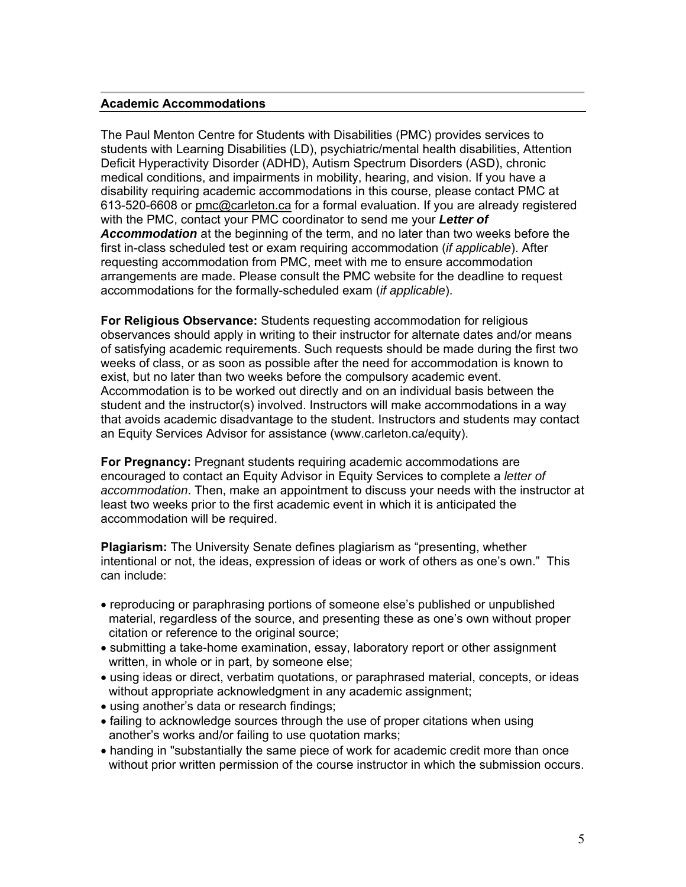#### **Academic Accommodations**

The Paul Menton Centre for Students with Disabilities (PMC) provides services to students with Learning Disabilities (LD), psychiatric/mental health disabilities, Attention Deficit Hyperactivity Disorder (ADHD), Autism Spectrum Disorders (ASD), chronic medical conditions, and impairments in mobility, hearing, and vision. If you have a disability requiring academic accommodations in this course, please contact PMC at 613-520-6608 or pmc@carleton.ca for a formal evaluation. If you are already registered with the PMC, contact your PMC coordinator to send me your *Letter of Accommodation* at the beginning of the term, and no later than two weeks before the first in-class scheduled test or exam requiring accommodation (*if applicable*). After requesting accommodation from PMC, meet with me to ensure accommodation arrangements are made. Please consult the PMC website for the deadline to request accommodations for the formally-scheduled exam (*if applicable*).

**For Religious Observance:** Students requesting accommodation for religious observances should apply in writing to their instructor for alternate dates and/or means of satisfying academic requirements. Such requests should be made during the first two weeks of class, or as soon as possible after the need for accommodation is known to exist, but no later than two weeks before the compulsory academic event. Accommodation is to be worked out directly and on an individual basis between the student and the instructor(s) involved. Instructors will make accommodations in a way that avoids academic disadvantage to the student. Instructors and students may contact an Equity Services Advisor for assistance (www.carleton.ca/equity).

**For Pregnancy:** Pregnant students requiring academic accommodations are encouraged to contact an Equity Advisor in Equity Services to complete a *letter of accommodation*. Then, make an appointment to discuss your needs with the instructor at least two weeks prior to the first academic event in which it is anticipated the accommodation will be required.

**Plagiarism:** The University Senate defines plagiarism as "presenting, whether intentional or not, the ideas, expression of ideas or work of others as one's own." This can include:

- reproducing or paraphrasing portions of someone else's published or unpublished material, regardless of the source, and presenting these as one's own without proper citation or reference to the original source;
- submitting a take-home examination, essay, laboratory report or other assignment written, in whole or in part, by someone else;
- using ideas or direct, verbatim quotations, or paraphrased material, concepts, or ideas without appropriate acknowledgment in any academic assignment;
- using another's data or research findings;
- failing to acknowledge sources through the use of proper citations when using another's works and/or failing to use quotation marks;
- handing in "substantially the same piece of work for academic credit more than once without prior written permission of the course instructor in which the submission occurs.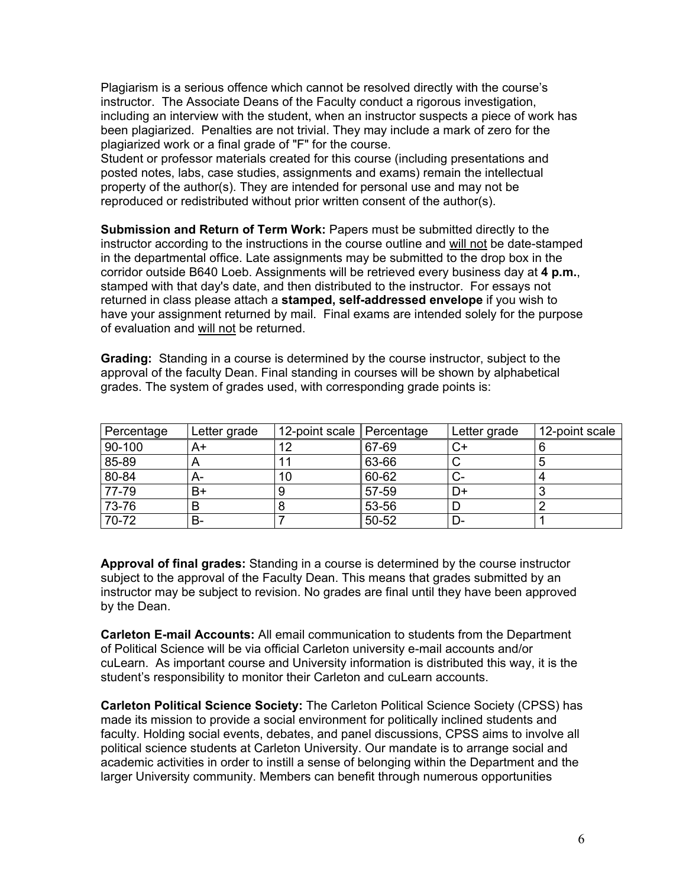Plagiarism is a serious offence which cannot be resolved directly with the course's instructor. The Associate Deans of the Faculty conduct a rigorous investigation, including an interview with the student, when an instructor suspects a piece of work has been plagiarized. Penalties are not trivial. They may include a mark of zero for the plagiarized work or a final grade of "F" for the course.

Student or professor materials created for this course (including presentations and posted notes, labs, case studies, assignments and exams) remain the intellectual property of the author(s). They are intended for personal use and may not be reproduced or redistributed without prior written consent of the author(s).

**Submission and Return of Term Work:** Papers must be submitted directly to the instructor according to the instructions in the course outline and will not be date-stamped in the departmental office. Late assignments may be submitted to the drop box in the corridor outside B640 Loeb. Assignments will be retrieved every business day at **4 p.m.**, stamped with that day's date, and then distributed to the instructor. For essays not returned in class please attach a **stamped, self-addressed envelope** if you wish to have your assignment returned by mail. Final exams are intended solely for the purpose of evaluation and will not be returned.

**Grading:** Standing in a course is determined by the course instructor, subject to the approval of the faculty Dean. Final standing in courses will be shown by alphabetical grades. The system of grades used, with corresponding grade points is:

| Percentage | Letter grade | 12-point scale Percentage |       | Letter grade | 12-point scale |
|------------|--------------|---------------------------|-------|--------------|----------------|
| 90-100     | A+           | 12                        | 67-69 | ◡▾           |                |
| 85-89      |              |                           | 63-66 |              |                |
| 80-84      | A-           | 10                        | 60-62 | い-           |                |
| 77-79      | B+           |                           | 57-59 | D+           |                |
| 73-76      |              |                           | 53-56 |              |                |
| 70-72      | В-           |                           | 50-52 | D-           |                |

**Approval of final grades:** Standing in a course is determined by the course instructor subject to the approval of the Faculty Dean. This means that grades submitted by an instructor may be subject to revision. No grades are final until they have been approved by the Dean.

**Carleton E-mail Accounts:** All email communication to students from the Department of Political Science will be via official Carleton university e-mail accounts and/or cuLearn. As important course and University information is distributed this way, it is the student's responsibility to monitor their Carleton and cuLearn accounts.

**Carleton Political Science Society:** The Carleton Political Science Society (CPSS) has made its mission to provide a social environment for politically inclined students and faculty. Holding social events, debates, and panel discussions, CPSS aims to involve all political science students at Carleton University. Our mandate is to arrange social and academic activities in order to instill a sense of belonging within the Department and the larger University community. Members can benefit through numerous opportunities